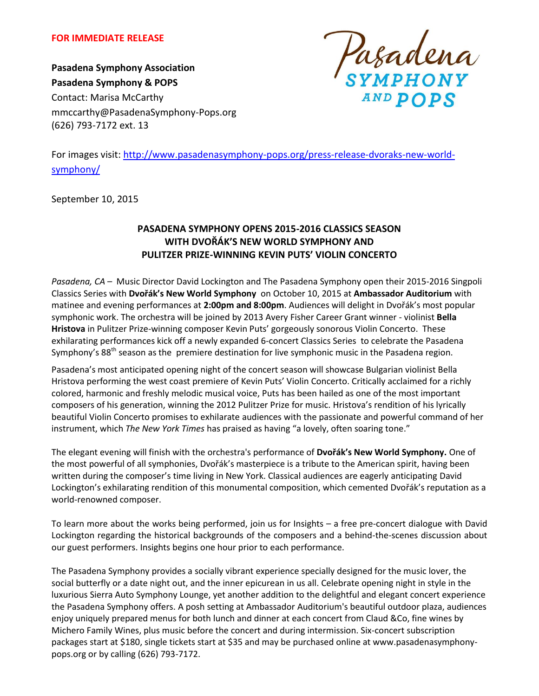

**Pasadena Symphony Association Pasadena Symphony & POPS** Contact: Marisa McCarthy mmccarthy@PasadenaSymphony-Pops.org (626) 793-7172 ext. 13



For images visit: [http://www.pasadenasymphony-pops.org/press-release-dvoraks-new-world](http://www.pasadenasymphony-pops.org/press-release-dvoraks-new-world-symphony/)[symphony/](http://www.pasadenasymphony-pops.org/press-release-dvoraks-new-world-symphony/)

September 10, 2015

# **PASADENA SYMPHONY OPENS 2015-2016 CLASSICS SEASON WITH DVOŘÁK'S NEW WORLD SYMPHONY AND PULITZER PRIZE-WINNING KEVIN PUTS' VIOLIN CONCERTO**

*Pasadena, CA –* Music Director David Lockington and The Pasadena Symphony open their 2015-2016 Singpoli Classics Series with **Dvořák's New World Symphony** on October 10, 2015 at **Ambassador Auditorium** with matinee and evening performances at **2:00pm and 8:00pm**. Audiences will delight in Dvořák's most popular symphonic work. The orchestra will be joined by 2013 Avery Fisher Career Grant winner - violinist **Bella Hristova** in Pulitzer Prize-winning composer Kevin Puts' gorgeously sonorous Violin Concerto. These exhilarating performances kick off a newly expanded 6-concert Classics Series to celebrate the Pasadena Symphony's  $88<sup>th</sup>$  season as the premiere destination for live symphonic music in the Pasadena region.

Pasadena's most anticipated opening night of the concert season will showcase Bulgarian violinist Bella Hristova performing the west coast premiere of Kevin Puts' Violin Concerto. Critically acclaimed for a richly colored, harmonic and freshly melodic musical voice, Puts has been hailed as one of the most important composers of his generation, winning the 2012 Pulitzer Prize for music. Hristova's rendition of his lyrically beautiful Violin Concerto promises to exhilarate audiences with the passionate and powerful command of her instrument, which *The New York Times* has praised as having "a lovely, often soaring tone."

The elegant evening will finish with the orchestra's performance of **Dvořák's New World Symphony.** One of the most powerful of all symphonies, Dvořák's masterpiece is a tribute to the American spirit, having been written during the composer's time living in New York. Classical audiences are eagerly anticipating David Lockington's exhilarating rendition of this monumental composition, which cemented Dvořák's reputation as a world-renowned composer.

To learn more about the works being performed, join us for Insights – a free pre-concert dialogue with David Lockington regarding the historical backgrounds of the composers and a behind-the-scenes discussion about our guest performers. Insights begins one hour prior to each performance.

The Pasadena Symphony provides a socially vibrant experience specially designed for the music lover, the social butterfly or a date night out, and the inner epicurean in us all. Celebrate opening night in style in the luxurious Sierra Auto Symphony Lounge, yet another addition to the delightful and elegant concert experience the Pasadena Symphony offers. A posh setting at Ambassador Auditorium's beautiful outdoor plaza, audiences enjoy uniquely prepared menus for both lunch and dinner at each concert from Claud &Co, fine wines by Michero Family Wines, plus music before the concert and during intermission. Six-concert subscription packages start at \$180, single tickets start at \$35 and may be purchased online at www.pasadenasymphonypops.org or by calling (626) 793-7172.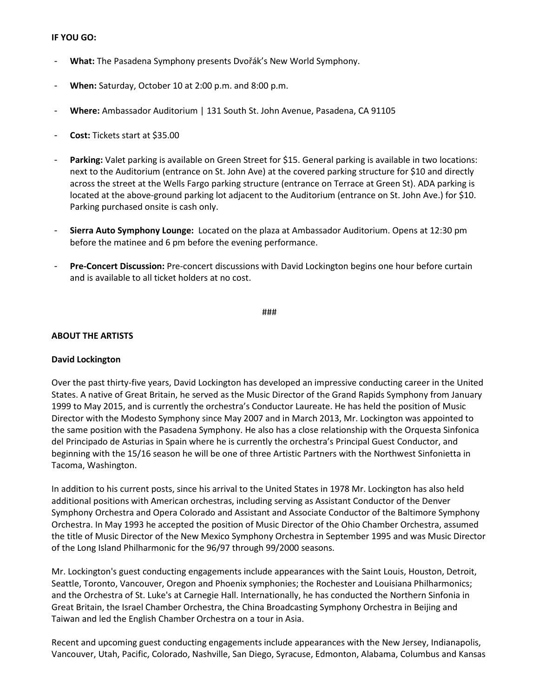### **IF YOU GO:**

- **What:** The Pasadena Symphony presents Dvořák's New World Symphony.
- **When:** Saturday, October 10 at 2:00 p.m. and 8:00 p.m.
- **Where:** Ambassador Auditorium | 131 South St. John Avenue, Pasadena, CA 91105
- **Cost:** Tickets start at \$35.00
- **Parking:** Valet parking is available on Green Street for \$15. General parking is available in two locations: next to the Auditorium (entrance on St. John Ave) at the covered parking structure for \$10 and directly across the street at the Wells Fargo parking structure (entrance on Terrace at Green St). ADA parking is located at the above-ground parking lot adjacent to the Auditorium (entrance on St. John Ave.) for \$10. Parking purchased onsite is cash only.
- **Sierra Auto Symphony Lounge:** Located on the plaza at Ambassador Auditorium. Opens at 12:30 pm before the matinee and 6 pm before the evening performance.
- **Pre-Concert Discussion:** Pre-concert discussions with David Lockington begins one hour before curtain and is available to all ticket holders at no cost.

###

## **ABOUT THE ARTISTS**

#### **David Lockington**

Over the past thirty-five years, David Lockington has developed an impressive conducting career in the United States. A native of Great Britain, he served as the Music Director of the Grand Rapids Symphony from January 1999 to May 2015, and is currently the orchestra's Conductor Laureate. He has held the position of Music Director with the Modesto Symphony since May 2007 and in March 2013, Mr. Lockington was appointed to the same position with the Pasadena Symphony. He also has a close relationship with the Orquesta Sinfonica del Principado de Asturias in Spain where he is currently the orchestra's Principal Guest Conductor, and beginning with the 15/16 season he will be one of three Artistic Partners with the Northwest Sinfonietta in Tacoma, Washington.

In addition to his current posts, since his arrival to the United States in 1978 Mr. Lockington has also held additional positions with American orchestras, including serving as Assistant Conductor of the Denver Symphony Orchestra and Opera Colorado and Assistant and Associate Conductor of the Baltimore Symphony Orchestra. In May 1993 he accepted the position of Music Director of the Ohio Chamber Orchestra, assumed the title of Music Director of the New Mexico Symphony Orchestra in September 1995 and was Music Director of the Long Island Philharmonic for the 96/97 through 99/2000 seasons.

Mr. Lockington's guest conducting engagements include appearances with the Saint Louis, Houston, Detroit, Seattle, Toronto, Vancouver, Oregon and Phoenix symphonies; the Rochester and Louisiana Philharmonics; and the Orchestra of St. Luke's at Carnegie Hall. Internationally, he has conducted the Northern Sinfonia in Great Britain, the Israel Chamber Orchestra, the China Broadcasting Symphony Orchestra in Beijing and Taiwan and led the English Chamber Orchestra on a tour in Asia.

Recent and upcoming guest conducting engagements include appearances with the New Jersey, Indianapolis, Vancouver, Utah, Pacific, Colorado, Nashville, San Diego, Syracuse, Edmonton, Alabama, Columbus and Kansas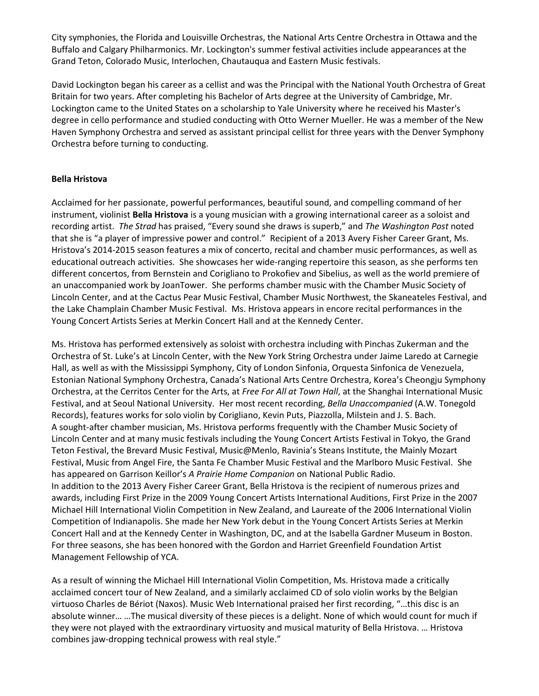City symphonies, the Florida and Louisville Orchestras, the National Arts Centre Orchestra in Ottawa and the Buffalo and Calgary Philharmonics. Mr. Lockington's summer festival activities include appearances at the Grand Teton, Colorado Music, Interlochen, Chautauqua and Eastern Music festivals.

David Lockington began his career as a cellist and was the Principal with the National Youth Orchestra of Great Britain for two years. After completing his Bachelor of Arts degree at the University of Cambridge, Mr. Lockington came to the United States on a scholarship to Yale University where he received his Master's degree in cello performance and studied conducting with Otto Werner Mueller. He was a member of the New Haven Symphony Orchestra and served as assistant principal cellist for three years with the Denver Symphony Orchestra before turning to conducting.

## **Bella Hristova**

Acclaimed for her passionate, powerful performances, beautiful sound, and compelling command of her instrument, violinist **Bella Hristova** is a young musician with a growing international career as a soloist and recording artist. *The Strad* has praised, "Every sound she draws is superb," and *The Washington Post* noted that she is "a player of impressive power and control." Recipient of a 2013 Avery Fisher Career Grant, Ms. Hristova's 2014-2015 season features a mix of concerto, recital and chamber music performances, as well as educational outreach activities. She showcases her wide-ranging repertoire this season, as she performs ten different concertos, from Bernstein and Corigliano to Prokofiev and Sibelius, as well as the world premiere of an unaccompanied work by JoanTower. She performs chamber music with the Chamber Music Society of Lincoln Center, and at the Cactus Pear Music Festival, Chamber Music Northwest, the Skaneateles Festival, and the Lake Champlain Chamber Music Festival. Ms. Hristova appears in encore recital performances in the Young Concert Artists Series at Merkin Concert Hall and at the Kennedy Center.

Ms. Hristova has performed extensively as soloist with orchestra including with Pinchas Zukerman and the Orchestra of St. Luke's at Lincoln Center, with the New York String Orchestra under Jaime Laredo at Carnegie Hall, as well as with the Mississippi Symphony, City of London Sinfonia, Orquesta Sinfonica de Venezuela, Estonian National Symphony Orchestra, Canada's National Arts Centre Orchestra, Korea's Cheongju Symphony Orchestra, at the Cerritos Center for the Arts, at *Free For All at Town Hall*, at the Shanghai International Music Festival, and at Seoul National University. Her most recent recording, *Bella Unaccompanied* (A.W. Tonegold Records), features works for solo violin by Corigliano, Kevin Puts, Piazzolla, Milstein and J. S. Bach. A sought-after chamber musician, Ms. Hristova performs frequently with the Chamber Music Society of Lincoln Center and at many music festivals including the Young Concert Artists Festival in Tokyo, the Grand Teton Festival, the Brevard Music Festival, Music@Menlo, Ravinia's Steans Institute, the Mainly Mozart Festival, Music from Angel Fire, the Santa Fe Chamber Music Festival and the Marlboro Music Festival. She has appeared on Garrison Keillor's *A Prairie Home Companion* on National Public Radio. In addition to the 2013 Avery Fisher Career Grant, Bella Hristova is the recipient of numerous prizes and awards, including First Prize in the 2009 Young Concert Artists International Auditions, First Prize in the 2007 Michael Hill International Violin Competition in New Zealand, and Laureate of the 2006 International Violin Competition of Indianapolis. She made her New York debut in the Young Concert Artists Series at Merkin Concert Hall and at the Kennedy Center in Washington, DC, and at the Isabella Gardner Museum in Boston. For three seasons, she has been honored with the Gordon and Harriet Greenfield Foundation Artist Management Fellowship of YCA.

As a result of winning the Michael Hill International Violin Competition, Ms. Hristova made a critically acclaimed concert tour of New Zealand, and a similarly acclaimed CD of solo violin works by the Belgian virtuoso Charles de Bériot (Naxos). Music Web International praised her first recording, "…this disc is an absolute winner… …The musical diversity of these pieces is a delight. None of which would count for much if they were not played with the extraordinary virtuosity and musical maturity of Bella Hristova. … Hristova combines jaw-dropping technical prowess with real style."